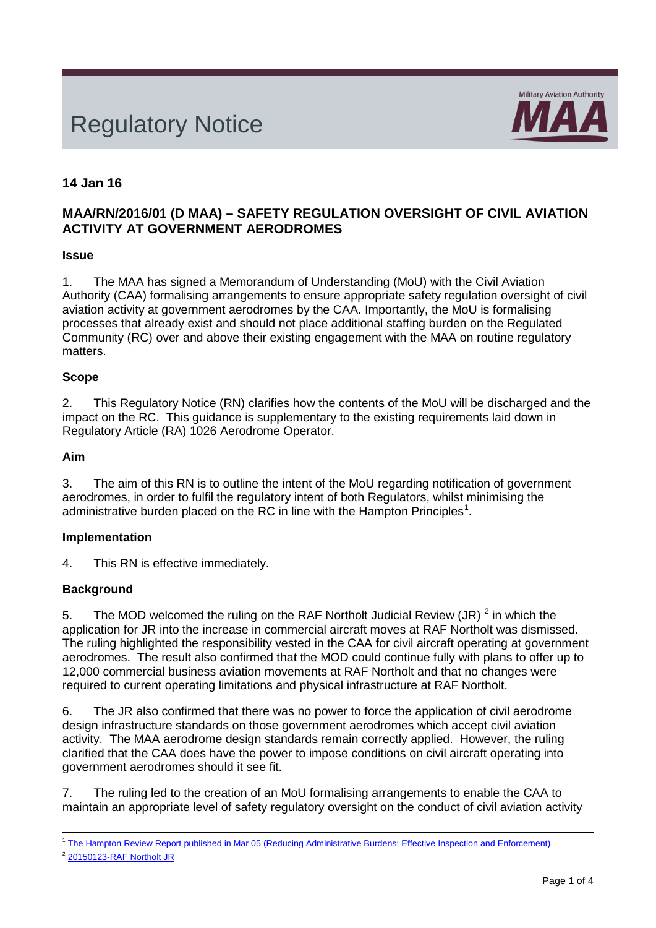# Regulatory Notice



# **14 Jan 16**

# **MAA/RN/2016/01 (D MAA) – SAFETY REGULATION OVERSIGHT OF CIVIL AVIATION ACTIVITY AT GOVERNMENT AERODROMES**

## **Issue**

1. The MAA has signed a Memorandum of Understanding (MoU) with the Civil Aviation Authority (CAA) formalising arrangements to ensure appropriate safety regulation oversight of civil aviation activity at government aerodromes by the CAA. Importantly, the MoU is formalising processes that already exist and should not place additional staffing burden on the Regulated Community (RC) over and above their existing engagement with the MAA on routine regulatory matters.

## **Scope**

2. This Regulatory Notice (RN) clarifies how the contents of the MoU will be discharged and the impact on the RC. This guidance is supplementary to the existing requirements laid down in Regulatory Article (RA) 1026 Aerodrome Operator.

## **Aim**

3. The aim of this RN is to outline the intent of the MoU regarding notification of government aerodromes, in order to fulfil the regulatory intent of both Regulators, whilst minimising the administrative burden placed on the RC in line with the Hampton Principles<sup>[1](#page-0-0)</sup>.

# **Implementation**

4. This RN is effective immediately.

# **Background**

5. The MOD welcomed the ruling on the RAF Northolt Judicial Review (JR)  $^2$  $^2$  in which the application for JR into the increase in commercial aircraft moves at RAF Northolt was dismissed. The ruling highlighted the responsibility vested in the CAA for civil aircraft operating at government aerodromes. The result also confirmed that the MOD could continue fully with plans to offer up to 12,000 commercial business aviation movements at RAF Northolt and that no changes were required to current operating limitations and physical infrastructure at RAF Northolt.

6. The JR also confirmed that there was no power to force the application of civil aerodrome design infrastructure standards on those government aerodromes which accept civil aviation activity. The MAA aerodrome design standards remain correctly applied. However, the ruling clarified that the CAA does have the power to impose conditions on civil aircraft operating into government aerodromes should it see fit.

7. The ruling led to the creation of an MoU formalising arrangements to enable the CAA to maintain an appropriate level of safety regulatory oversight on the conduct of civil aviation activity

<span id="page-0-1"></span><sup>2</sup> [20150123-RAF Northolt JR](http://www.bailii.org/ew/cases/EWHC/Admin/2015/24.html)

<span id="page-0-0"></span><sup>1</sup> The Hampton Review Report published in [Mar 05 \(Reducing Administrative Burdens:](http://webarchive.nationalarchives.gov.uk/+/http:/www.hm-treasury.gov.uk/budget/budget_05/other_documents/bud_bud05_hampton.cfm) Effective Inspection and Enforcement)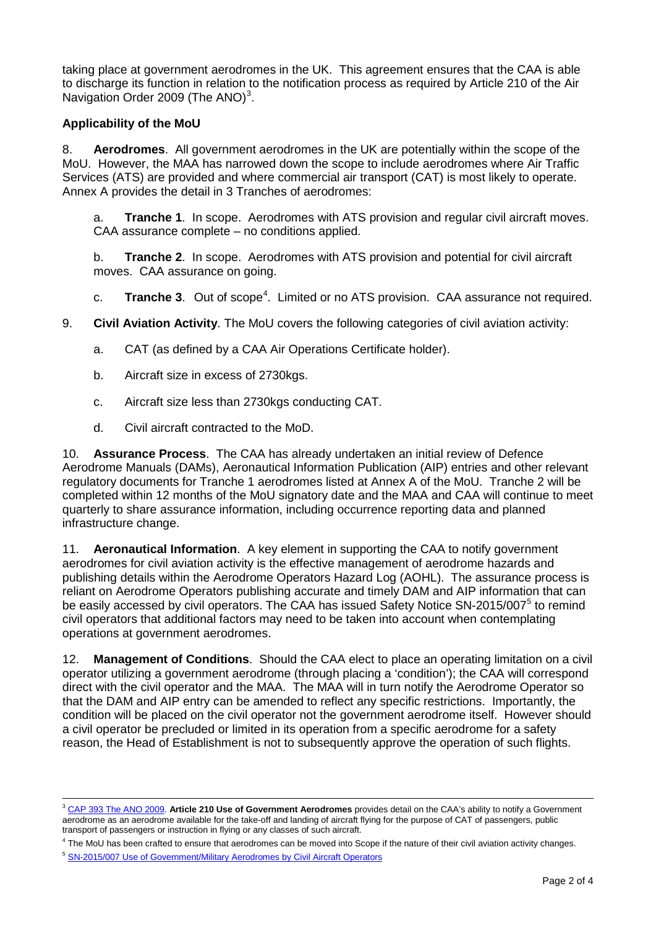taking place at government aerodromes in the UK. This agreement ensures that the CAA is able to discharge its function in relation to the notification process as required by Article 210 of the Air Navigation Order 2009 (The ANO)<sup>[3](#page-1-0)</sup>.

## **Applicability of the MoU**

8. **Aerodromes**. All government aerodromes in the UK are potentially within the scope of the MoU. However, the MAA has narrowed down the scope to include aerodromes where Air Traffic Services (ATS) are provided and where commercial air transport (CAT) is most likely to operate. Annex A provides the detail in 3 Tranches of aerodromes:

a. **Tranche 1**. In scope. Aerodromes with ATS provision and regular civil aircraft moves. CAA assurance complete – no conditions applied.

b. **Tranche 2**. In scope. Aerodromes with ATS provision and potential for civil aircraft moves. CAA assurance on going.

c. Tranche 3. Out of scope<sup>[4](#page-1-1)</sup>. Limited or no ATS provision. CAA assurance not required.

9. **Civil Aviation Activity**. The MoU covers the following categories of civil aviation activity:

- a. CAT (as defined by a CAA Air Operations Certificate holder).
- b. Aircraft size in excess of 2730kgs.
- c. Aircraft size less than 2730kgs conducting CAT.
- d. Civil aircraft contracted to the MoD.

10. **Assurance Process**. The CAA has already undertaken an initial review of Defence Aerodrome Manuals (DAMs), Aeronautical Information Publication (AIP) entries and other relevant regulatory documents for Tranche 1 aerodromes listed at Annex A of the MoU. Tranche 2 will be completed within 12 months of the MoU signatory date and the MAA and CAA will continue to meet quarterly to share assurance information, including occurrence reporting data and planned infrastructure change.

11. **Aeronautical Information**. A key element in supporting the CAA to notify government aerodromes for civil aviation activity is the effective management of aerodrome hazards and publishing details within the Aerodrome Operators Hazard Log (AOHL). The assurance process is reliant on Aerodrome Operators publishing accurate and timely DAM and AIP information that can be easily accessed by civil operators. The CAA has issued Safety Notice SN-201[5](#page-1-2)/007<sup>5</sup> to remind civil operators that additional factors may need to be taken into account when contemplating operations at government aerodromes.

12. **Management of Conditions**. Should the CAA elect to place an operating limitation on a civil operator utilizing a government aerodrome (through placing a 'condition'); the CAA will correspond direct with the civil operator and the MAA. The MAA will in turn notify the Aerodrome Operator so that the DAM and AIP entry can be amended to reflect any specific restrictions. Importantly, the condition will be placed on the civil operator not the government aerodrome itself. However should a civil operator be precluded or limited in its operation from a specific aerodrome for a safety reason, the Head of Establishment is not to subsequently approve the operation of such flights.

<span id="page-1-0"></span><sup>3</sup> [CAP 393 The ANO 2009.](https://www.caa.co.uk/application.aspx?catid=33&pagetype=65&appid=11&mode=detail&id=226) **Article 210 Use of Government Aerodromes** provides detail on the CAA's ability to notify a Government aerodrome as an aerodrome available for the take-off and landing of aircraft flying for the purpose of CAT of passengers, public transport of passengers or instruction in flying or any classes of such aircraft.

<span id="page-1-1"></span><sup>&</sup>lt;sup>4</sup> The MoU has been crafted to ensure that aerodromes can be moved into Scope if the nature of their civil aviation activity changes.

<span id="page-1-2"></span><sup>5</sup> [SN-2015/007 Use of Government/Military Aerodromes by Civil Aircraft](http://www.caa.co.uk/application.aspx?catid=33&pagetype=65&appid=11&mode=detail&id=7034) Operators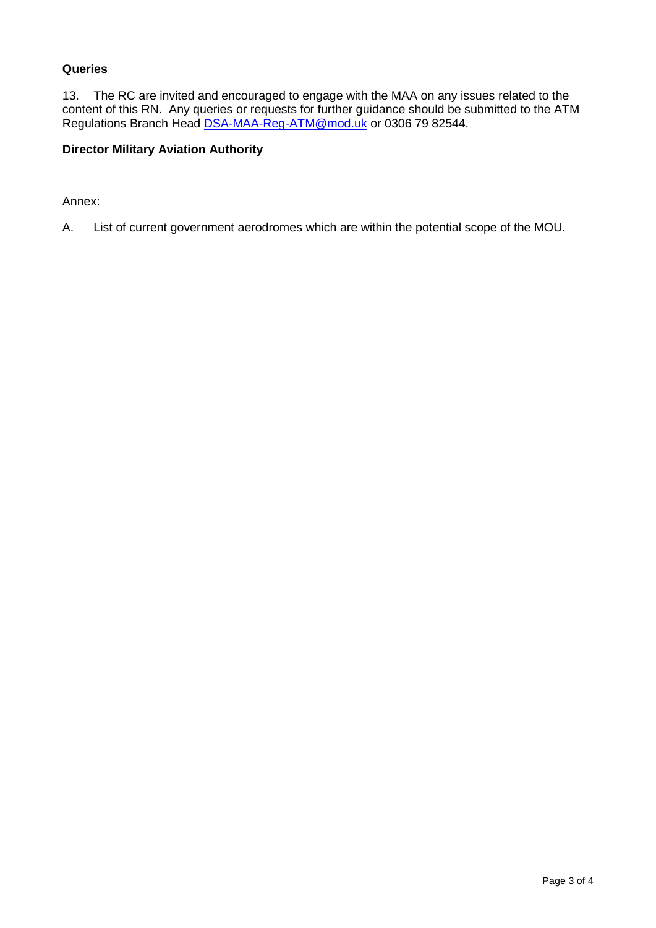## **Queries**

13. The RC are invited and encouraged to engage with the MAA on any issues related to the content of this RN. Any queries or requests for further guidance should be submitted to the ATM Regulations Branch Head [DSA-MAA-Reg-ATM@mod.uk](mailto:DSA-MAA-Reg-ATM@mod.uk) or 0306 79 82544.

## **Director Military Aviation Authority**

Annex:

A. List of current government aerodromes which are within the potential scope of the MOU.